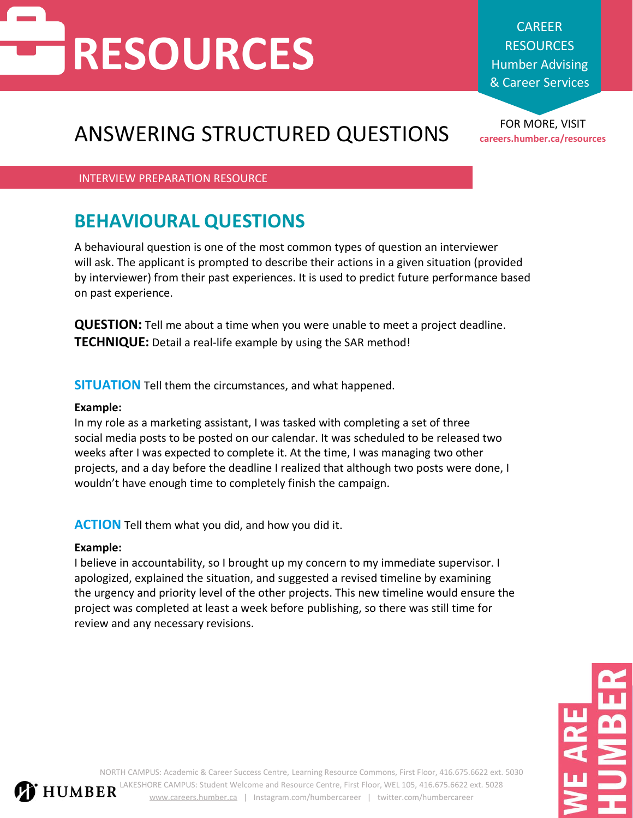## **RESOURCES**

CAREER **RESOURCES** Humber Advising & Career Services

## FOR MORE, VISIT ANSWERING STRUCTURED QUESTIONS **careers.humber.ca/resources**

INTERVIEW PREPARATION RESOURCE

## **BEHAVIOURAL QUESTIONS**

A behavioural question is one of the most common types of question an interviewer will ask. The applicant is prompted to describe their actions in a given situation (provided by interviewer) from their past experiences. It is used to predict future performance based on past experience.

**QUESTION:** Tell me about a time when you were unable to meet a project deadline. **TECHNIQUE:** Detail a real-life example by using the SAR method!

**SITUATION** Tell them the circumstances, and what happened.

### **Example:**

In my role as a marketing assistant, I was tasked with completing a set of three social media posts to be posted on our calendar. It was scheduled to be released two weeks after I was expected to complete it. At the time, I was managing two other projects, and a day before the deadline I realized that although two posts were done, I wouldn't have enough time to completely finish the campaign.

**ACTION** Tell them what you did, and how you did it.

### **Example:**

I believe in accountability, so I brought up my concern to my immediate supervisor. I apologized, explained the situation, and suggested a revised timeline by examining the urgency and priority level of the other projects. This new timeline would ensure the project was completed at least a week before publishing, so there was still time for review and any necessary revisions.

NORTH CAMPUS: Academic & Career Success Centre, Learning Resource Commons, First Floor, 416.675.6622 ext. 5030 LAKESHORE CAMPUS: Student Welcome and Resource Centre, First Floor, WEL 105, 416.675.6622 ext. 5028 **HUMBER** [www.careers.humber.ca](http://www.careers.humber.ca/) | Instagram.com/humbercareer | twitter.com/humbercareer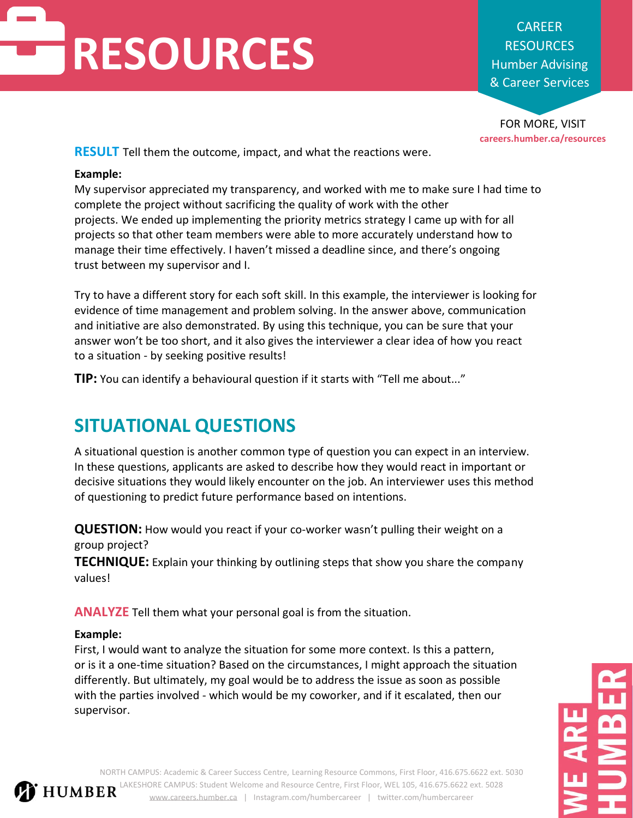# **RESOURCES**

CAREER **RESOURCES** Humber Advising & Career Services

FOR MORE, VISIT **careers.humber.ca/resources**

**RESULT** Tell them the outcome, impact, and what the reactions were.

#### **Example:**

My supervisor appreciated my transparency, and worked with me to make sure I had time to complete the project without sacrificing the quality of work with the other projects. We ended up implementing the priority metrics strategy I came up with for all projects so that other team members were able to more accurately understand how to manage their time effectively. I haven't missed a deadline since, and there's ongoing trust between my supervisor and I.

Try to have a different story for each soft skill. In this example, the interviewer is looking for evidence of time management and problem solving. In the answer above, communication and initiative are also demonstrated. By using this technique, you can be sure that your answer won't be too short, and it also gives the interviewer a clear idea of how you react to a situation - by seeking positive results!

**TIP:** You can identify a behavioural question if it starts with "Tell me about..."

## **SITUATIONAL QUESTIONS**

A situational question is another common type of question you can expect in an interview. In these questions, applicants are asked to describe how they would react in important or decisive situations they would likely encounter on the job. An interviewer uses this method of questioning to predict future performance based on intentions.

**QUESTION:** How would you react if your co-worker wasn't pulling their weight on a group project?

**TECHNIQUE:** Explain your thinking by outlining steps that show you share the company values!

**ANALYZE** Tell them what your personal goal is from the situation.

### **Example:**

First, I would want to analyze the situation for some more context. Is this a pattern, or is it a one-time situation? Based on the circumstances, I might approach the situation differently. But ultimately, my goal would be to address the issue as soon as possible with the parties involved - which would be my coworker, and if it escalated, then our supervisor.